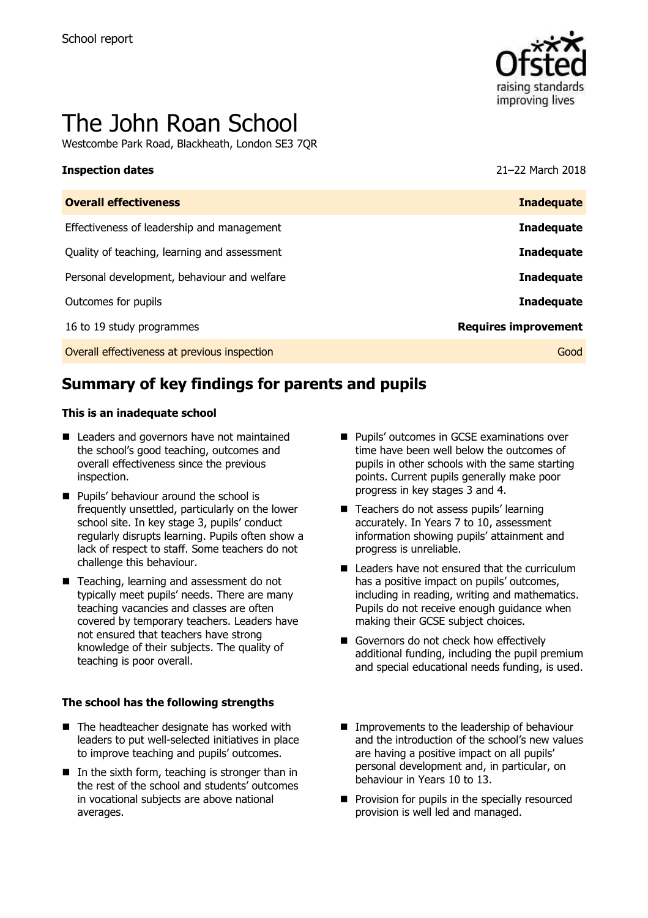

# The John Roan School

Westcombe Park Road, Blackheath, London SE3 7QR

#### **Inspection dates** 21–22 March 2018

| <b>Inadequate</b>           |
|-----------------------------|
| <b>Inadequate</b>           |
| <b>Inadequate</b>           |
| <b>Inadequate</b>           |
| <b>Inadequate</b>           |
| <b>Requires improvement</b> |
| Good                        |
|                             |

# **Summary of key findings for parents and pupils**

#### **This is an inadequate school**

- Leaders and governors have not maintained the school's good teaching, outcomes and overall effectiveness since the previous inspection.
- **Pupils' behaviour around the school is** frequently unsettled, particularly on the lower school site. In key stage 3, pupils' conduct regularly disrupts learning. Pupils often show a lack of respect to staff. Some teachers do not challenge this behaviour.
- Teaching, learning and assessment do not typically meet pupils' needs. There are many teaching vacancies and classes are often covered by temporary teachers. Leaders have not ensured that teachers have strong knowledge of their subjects. The quality of teaching is poor overall.

#### **The school has the following strengths**

- The headteacher designate has worked with leaders to put well-selected initiatives in place to improve teaching and pupils' outcomes.
- $\blacksquare$  In the sixth form, teaching is stronger than in the rest of the school and students' outcomes in vocational subjects are above national averages.
- **Pupils' outcomes in GCSE examinations over** time have been well below the outcomes of pupils in other schools with the same starting points. Current pupils generally make poor progress in key stages 3 and 4.
- Teachers do not assess pupils' learning accurately. In Years 7 to 10, assessment information showing pupils' attainment and progress is unreliable.
- Leaders have not ensured that the curriculum has a positive impact on pupils' outcomes, including in reading, writing and mathematics. Pupils do not receive enough guidance when making their GCSE subject choices.
- Governors do not check how effectively additional funding, including the pupil premium and special educational needs funding, is used.
- **Improvements to the leadership of behaviour** and the introduction of the school's new values are having a positive impact on all pupils' personal development and, in particular, on behaviour in Years 10 to 13.
- **Provision for pupils in the specially resourced** provision is well led and managed.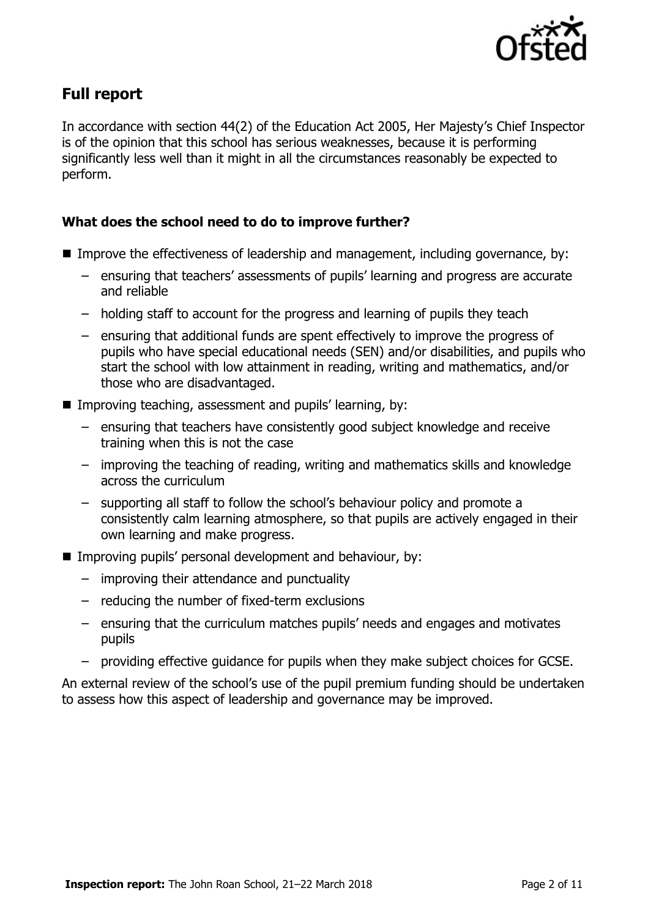

# **Full report**

In accordance with section 44(2) of the Education Act 2005, Her Majesty's Chief Inspector is of the opinion that this school has serious weaknesses, because it is performing significantly less well than it might in all the circumstances reasonably be expected to perform.

### **What does the school need to do to improve further?**

- Improve the effectiveness of leadership and management, including governance, by:
	- ensuring that teachers' assessments of pupils' learning and progress are accurate and reliable
	- holding staff to account for the progress and learning of pupils they teach
	- ensuring that additional funds are spent effectively to improve the progress of pupils who have special educational needs (SEN) and/or disabilities, and pupils who start the school with low attainment in reading, writing and mathematics, and/or those who are disadvantaged.
- Improving teaching, assessment and pupils' learning, by:
	- ensuring that teachers have consistently good subject knowledge and receive training when this is not the case
	- improving the teaching of reading, writing and mathematics skills and knowledge across the curriculum
	- supporting all staff to follow the school's behaviour policy and promote a consistently calm learning atmosphere, so that pupils are actively engaged in their own learning and make progress.
- **IMProving pupils' personal development and behaviour, by:** 
	- improving their attendance and punctuality
	- reducing the number of fixed-term exclusions
	- ensuring that the curriculum matches pupils' needs and engages and motivates pupils
	- providing effective guidance for pupils when they make subject choices for GCSE.

An external review of the school's use of the pupil premium funding should be undertaken to assess how this aspect of leadership and governance may be improved.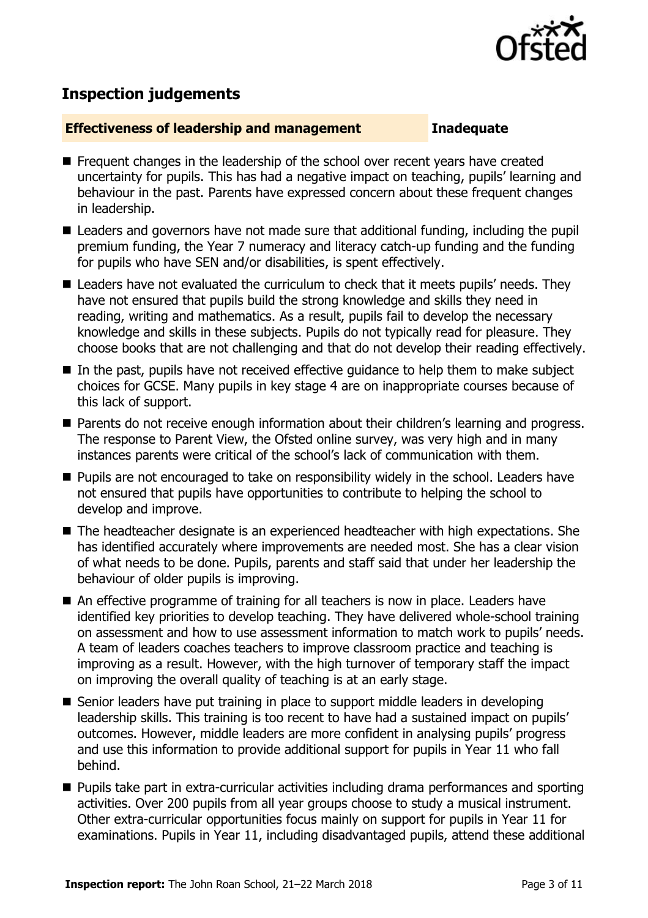

# **Inspection judgements**

#### **Effectiveness of leadership and management Inadequate**

- **F** Frequent changes in the leadership of the school over recent years have created uncertainty for pupils. This has had a negative impact on teaching, pupils' learning and behaviour in the past. Parents have expressed concern about these frequent changes in leadership.
- Leaders and governors have not made sure that additional funding, including the pupil premium funding, the Year 7 numeracy and literacy catch-up funding and the funding for pupils who have SEN and/or disabilities, is spent effectively.
- Leaders have not evaluated the curriculum to check that it meets pupils' needs. They have not ensured that pupils build the strong knowledge and skills they need in reading, writing and mathematics. As a result, pupils fail to develop the necessary knowledge and skills in these subjects. Pupils do not typically read for pleasure. They choose books that are not challenging and that do not develop their reading effectively.
- In the past, pupils have not received effective quidance to help them to make subject choices for GCSE. Many pupils in key stage 4 are on inappropriate courses because of this lack of support.
- Parents do not receive enough information about their children's learning and progress. The response to Parent View, the Ofsted online survey, was very high and in many instances parents were critical of the school's lack of communication with them.
- **Pupils are not encouraged to take on responsibility widely in the school. Leaders have** not ensured that pupils have opportunities to contribute to helping the school to develop and improve.
- The headteacher designate is an experienced headteacher with high expectations. She has identified accurately where improvements are needed most. She has a clear vision of what needs to be done. Pupils, parents and staff said that under her leadership the behaviour of older pupils is improving.
- An effective programme of training for all teachers is now in place. Leaders have identified key priorities to develop teaching. They have delivered whole-school training on assessment and how to use assessment information to match work to pupils' needs. A team of leaders coaches teachers to improve classroom practice and teaching is improving as a result. However, with the high turnover of temporary staff the impact on improving the overall quality of teaching is at an early stage.
- Senior leaders have put training in place to support middle leaders in developing leadership skills. This training is too recent to have had a sustained impact on pupils' outcomes. However, middle leaders are more confident in analysing pupils' progress and use this information to provide additional support for pupils in Year 11 who fall behind.
- **Pupils take part in extra-curricular activities including drama performances and sporting** activities. Over 200 pupils from all year groups choose to study a musical instrument. Other extra-curricular opportunities focus mainly on support for pupils in Year 11 for examinations. Pupils in Year 11, including disadvantaged pupils, attend these additional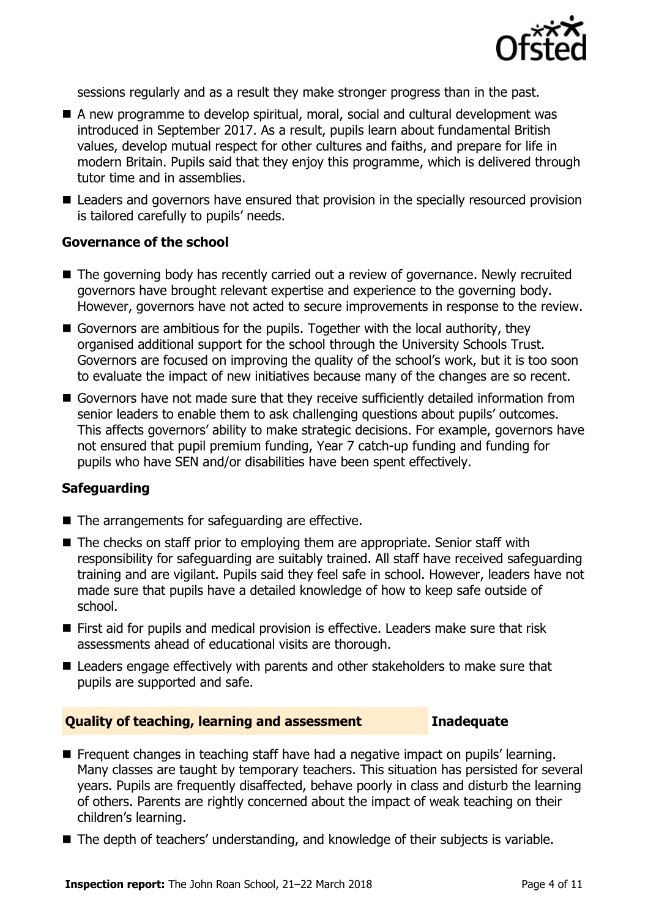

sessions regularly and as a result they make stronger progress than in the past.

- A new programme to develop spiritual, moral, social and cultural development was introduced in September 2017. As a result, pupils learn about fundamental British values, develop mutual respect for other cultures and faiths, and prepare for life in modern Britain. Pupils said that they enjoy this programme, which is delivered through tutor time and in assemblies.
- Leaders and governors have ensured that provision in the specially resourced provision is tailored carefully to pupils' needs.

#### **Governance of the school**

- The governing body has recently carried out a review of governance. Newly recruited governors have brought relevant expertise and experience to the governing body. However, governors have not acted to secure improvements in response to the review.
- Governors are ambitious for the pupils. Together with the local authority, they organised additional support for the school through the University Schools Trust. Governors are focused on improving the quality of the school's work, but it is too soon to evaluate the impact of new initiatives because many of the changes are so recent.
- Governors have not made sure that they receive sufficiently detailed information from senior leaders to enable them to ask challenging questions about pupils' outcomes. This affects governors' ability to make strategic decisions. For example, governors have not ensured that pupil premium funding, Year 7 catch-up funding and funding for pupils who have SEN and/or disabilities have been spent effectively.

#### **Safeguarding**

- The arrangements for safeguarding are effective.
- The checks on staff prior to employing them are appropriate. Senior staff with responsibility for safeguarding are suitably trained. All staff have received safeguarding training and are vigilant. Pupils said they feel safe in school. However, leaders have not made sure that pupils have a detailed knowledge of how to keep safe outside of school.
- First aid for pupils and medical provision is effective. Leaders make sure that risk assessments ahead of educational visits are thorough.
- Leaders engage effectively with parents and other stakeholders to make sure that pupils are supported and safe.

#### **Quality of teaching, learning and assessment Inadequate**

- Frequent changes in teaching staff have had a negative impact on pupils' learning. Many classes are taught by temporary teachers. This situation has persisted for several years. Pupils are frequently disaffected, behave poorly in class and disturb the learning of others. Parents are rightly concerned about the impact of weak teaching on their children's learning.
- The depth of teachers' understanding, and knowledge of their subjects is variable.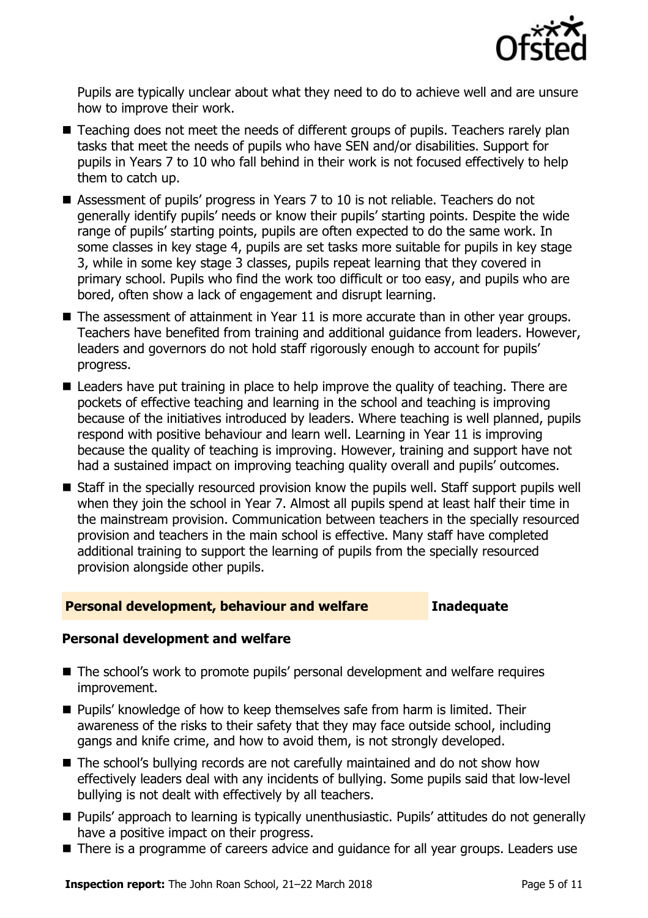

Pupils are typically unclear about what they need to do to achieve well and are unsure how to improve their work.

- Teaching does not meet the needs of different groups of pupils. Teachers rarely plan tasks that meet the needs of pupils who have SEN and/or disabilities. Support for pupils in Years 7 to 10 who fall behind in their work is not focused effectively to help them to catch up.
- Assessment of pupils' progress in Years 7 to 10 is not reliable. Teachers do not generally identify pupils' needs or know their pupils' starting points. Despite the wide range of pupils' starting points, pupils are often expected to do the same work. In some classes in key stage 4, pupils are set tasks more suitable for pupils in key stage 3, while in some key stage 3 classes, pupils repeat learning that they covered in primary school. Pupils who find the work too difficult or too easy, and pupils who are bored, often show a lack of engagement and disrupt learning.
- The assessment of attainment in Year 11 is more accurate than in other year groups. Teachers have benefited from training and additional guidance from leaders. However, leaders and governors do not hold staff rigorously enough to account for pupils' progress.
- Leaders have put training in place to help improve the quality of teaching. There are pockets of effective teaching and learning in the school and teaching is improving because of the initiatives introduced by leaders. Where teaching is well planned, pupils respond with positive behaviour and learn well. Learning in Year 11 is improving because the quality of teaching is improving. However, training and support have not had a sustained impact on improving teaching quality overall and pupils' outcomes.
- Staff in the specially resourced provision know the pupils well. Staff support pupils well when they join the school in Year 7. Almost all pupils spend at least half their time in the mainstream provision. Communication between teachers in the specially resourced provision and teachers in the main school is effective. Many staff have completed additional training to support the learning of pupils from the specially resourced provision alongside other pupils.

#### **Personal development, behaviour and welfare Inadequate**

#### **Personal development and welfare**

- The school's work to promote pupils' personal development and welfare requires improvement.
- **Pupils' knowledge of how to keep themselves safe from harm is limited. Their** awareness of the risks to their safety that they may face outside school, including gangs and knife crime, and how to avoid them, is not strongly developed.
- The school's bullying records are not carefully maintained and do not show how effectively leaders deal with any incidents of bullying. Some pupils said that low-level bullying is not dealt with effectively by all teachers.
- Pupils' approach to learning is typically unenthusiastic. Pupils' attitudes do not generally have a positive impact on their progress.
- There is a programme of careers advice and quidance for all year groups. Leaders use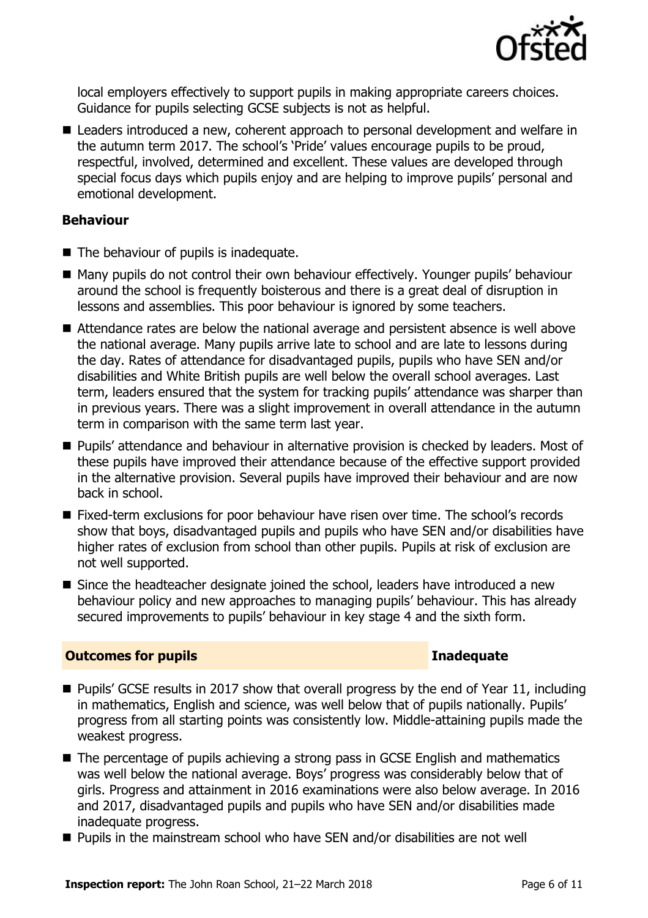

local employers effectively to support pupils in making appropriate careers choices. Guidance for pupils selecting GCSE subjects is not as helpful.

■ Leaders introduced a new, coherent approach to personal development and welfare in the autumn term 2017. The school's 'Pride' values encourage pupils to be proud, respectful, involved, determined and excellent. These values are developed through special focus days which pupils enjoy and are helping to improve pupils' personal and emotional development.

#### **Behaviour**

- The behaviour of pupils is inadequate.
- Many pupils do not control their own behaviour effectively. Younger pupils' behaviour around the school is frequently boisterous and there is a great deal of disruption in lessons and assemblies. This poor behaviour is ignored by some teachers.
- Attendance rates are below the national average and persistent absence is well above the national average. Many pupils arrive late to school and are late to lessons during the day. Rates of attendance for disadvantaged pupils, pupils who have SEN and/or disabilities and White British pupils are well below the overall school averages. Last term, leaders ensured that the system for tracking pupils' attendance was sharper than in previous years. There was a slight improvement in overall attendance in the autumn term in comparison with the same term last year.
- **Pupils' attendance and behaviour in alternative provision is checked by leaders. Most of** these pupils have improved their attendance because of the effective support provided in the alternative provision. Several pupils have improved their behaviour and are now back in school.
- Fixed-term exclusions for poor behaviour have risen over time. The school's records show that boys, disadvantaged pupils and pupils who have SEN and/or disabilities have higher rates of exclusion from school than other pupils. Pupils at risk of exclusion are not well supported.
- Since the headteacher designate joined the school, leaders have introduced a new behaviour policy and new approaches to managing pupils' behaviour. This has already secured improvements to pupils' behaviour in key stage 4 and the sixth form.

### **Outcomes for pupils Inadequate**

- Pupils' GCSE results in 2017 show that overall progress by the end of Year 11, including in mathematics, English and science, was well below that of pupils nationally. Pupils' progress from all starting points was consistently low. Middle-attaining pupils made the weakest progress.
- The percentage of pupils achieving a strong pass in GCSE English and mathematics was well below the national average. Boys' progress was considerably below that of girls. Progress and attainment in 2016 examinations were also below average. In 2016 and 2017, disadvantaged pupils and pupils who have SEN and/or disabilities made inadequate progress.
- Pupils in the mainstream school who have SEN and/or disabilities are not well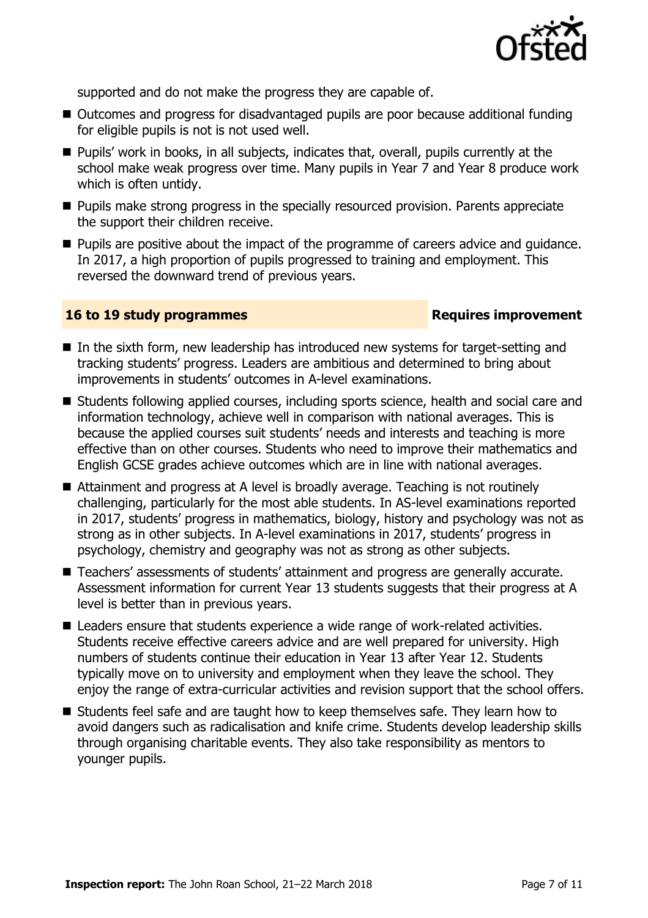

supported and do not make the progress they are capable of.

- Outcomes and progress for disadvantaged pupils are poor because additional funding for eligible pupils is not is not used well.
- **Pupils' work in books, in all subjects, indicates that, overall, pupils currently at the** school make weak progress over time. Many pupils in Year 7 and Year 8 produce work which is often untidy.
- **Pupils make strong progress in the specially resourced provision. Parents appreciate** the support their children receive.
- **Pupilla** are positive about the impact of the programme of careers advice and guidance. In 2017, a high proportion of pupils progressed to training and employment. This reversed the downward trend of previous years.

#### **16 to 19 study programmes Requires improvement**

- In the sixth form, new leadership has introduced new systems for target-setting and tracking students' progress. Leaders are ambitious and determined to bring about improvements in students' outcomes in A-level examinations.
- Students following applied courses, including sports science, health and social care and information technology, achieve well in comparison with national averages. This is because the applied courses suit students' needs and interests and teaching is more effective than on other courses. Students who need to improve their mathematics and English GCSE grades achieve outcomes which are in line with national averages.
- Attainment and progress at A level is broadly average. Teaching is not routinely challenging, particularly for the most able students. In AS-level examinations reported in 2017, students' progress in mathematics, biology, history and psychology was not as strong as in other subjects. In A-level examinations in 2017, students' progress in psychology, chemistry and geography was not as strong as other subjects.
- Teachers' assessments of students' attainment and progress are generally accurate. Assessment information for current Year 13 students suggests that their progress at A level is better than in previous years.
- Leaders ensure that students experience a wide range of work-related activities. Students receive effective careers advice and are well prepared for university. High numbers of students continue their education in Year 13 after Year 12. Students typically move on to university and employment when they leave the school. They enjoy the range of extra-curricular activities and revision support that the school offers.
- Students feel safe and are taught how to keep themselves safe. They learn how to avoid dangers such as radicalisation and knife crime. Students develop leadership skills through organising charitable events. They also take responsibility as mentors to younger pupils.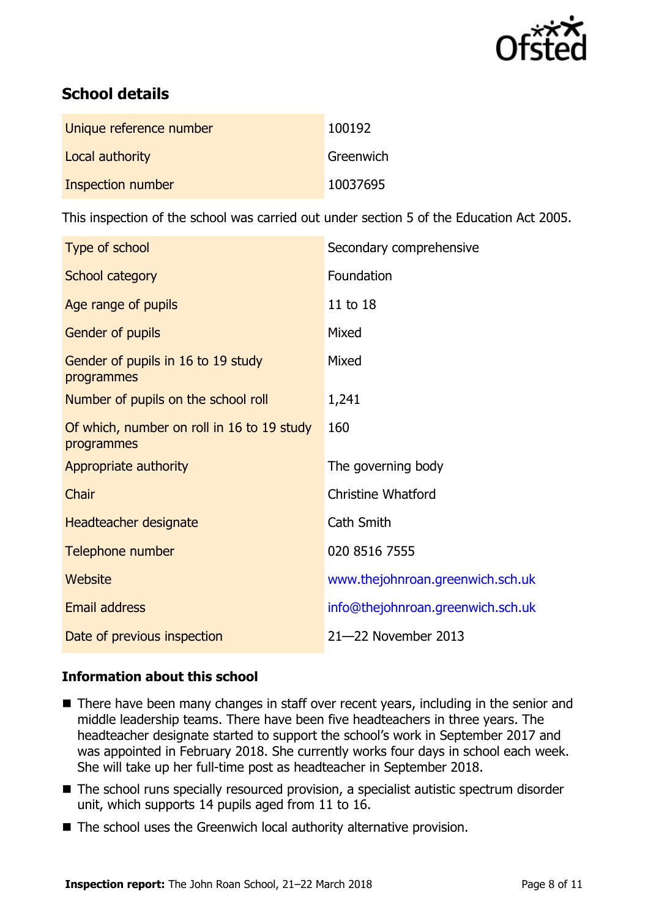

# **School details**

| Unique reference number | 100192    |
|-------------------------|-----------|
| Local authority         | Greenwich |
| Inspection number       | 10037695  |

This inspection of the school was carried out under section 5 of the Education Act 2005.

| Type of school                                           | Secondary comprehensive           |
|----------------------------------------------------------|-----------------------------------|
| School category                                          | Foundation                        |
| Age range of pupils                                      | 11 to 18                          |
| Gender of pupils                                         | Mixed                             |
| Gender of pupils in 16 to 19 study<br>programmes         | Mixed                             |
| Number of pupils on the school roll                      | 1,241                             |
| Of which, number on roll in 16 to 19 study<br>programmes | 160                               |
| Appropriate authority                                    | The governing body                |
| Chair                                                    | <b>Christine Whatford</b>         |
| Headteacher designate                                    | Cath Smith                        |
| Telephone number                                         | 020 8516 7555                     |
| Website                                                  | www.thejohnroan.greenwich.sch.uk  |
| Email address                                            | info@thejohnroan.greenwich.sch.uk |
| Date of previous inspection                              | 21-22 November 2013               |

### **Information about this school**

- There have been many changes in staff over recent years, including in the senior and middle leadership teams. There have been five headteachers in three years. The headteacher designate started to support the school's work in September 2017 and was appointed in February 2018. She currently works four days in school each week. She will take up her full-time post as headteacher in September 2018.
- The school runs specially resourced provision, a specialist autistic spectrum disorder unit, which supports 14 pupils aged from 11 to 16.
- The school uses the Greenwich local authority alternative provision.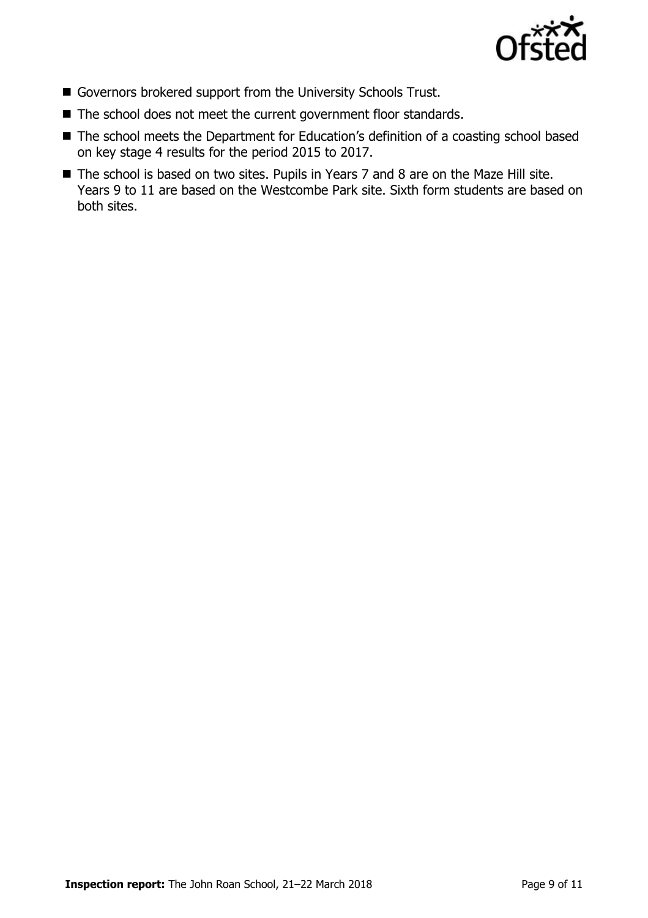

- Governors brokered support from the University Schools Trust.
- The school does not meet the current government floor standards.
- The school meets the Department for Education's definition of a coasting school based on key stage 4 results for the period 2015 to 2017.
- The school is based on two sites. Pupils in Years 7 and 8 are on the Maze Hill site. Years 9 to 11 are based on the Westcombe Park site. Sixth form students are based on both sites.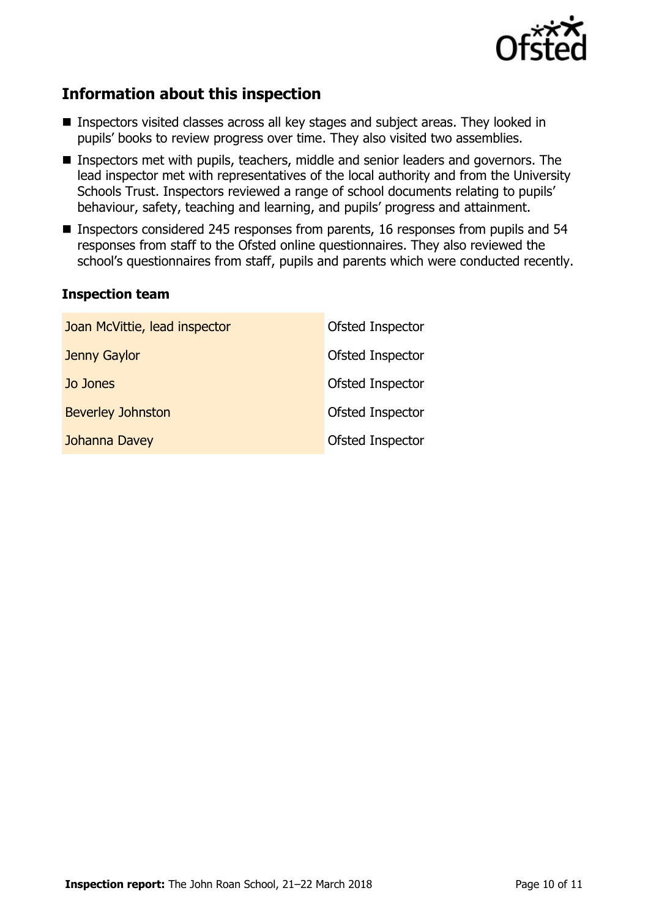

# **Information about this inspection**

- Inspectors visited classes across all key stages and subject areas. They looked in pupils' books to review progress over time. They also visited two assemblies.
- Inspectors met with pupils, teachers, middle and senior leaders and governors. The lead inspector met with representatives of the local authority and from the University Schools Trust. Inspectors reviewed a range of school documents relating to pupils' behaviour, safety, teaching and learning, and pupils' progress and attainment.
- Inspectors considered 245 responses from parents, 16 responses from pupils and 54 responses from staff to the Ofsted online questionnaires. They also reviewed the school's questionnaires from staff, pupils and parents which were conducted recently.

#### **Inspection team**

| Joan McVittie, lead inspector | Ofsted Inspector |
|-------------------------------|------------------|
| Jenny Gaylor                  | Ofsted Inspector |
| Jo Jones                      | Ofsted Inspector |
| <b>Beverley Johnston</b>      | Ofsted Inspector |
| Johanna Davey                 | Ofsted Inspector |